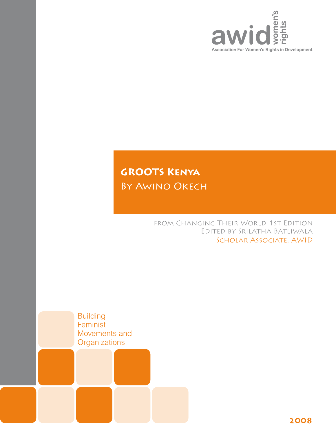

# **GROOTS Kenya** By Awino Okech

from Changing Their World 1st Edition Edited by Srilatha Batliwala Scholar Associate, AWID

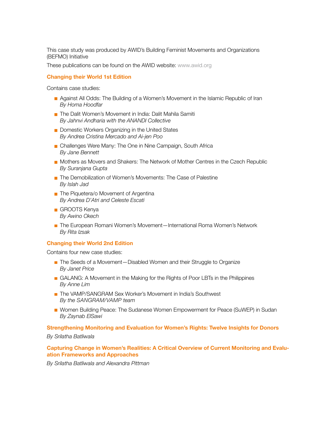This case study was produced by AWID's Building Feminist Movements and Organizations (BEFMO) Initiative

These publications can be found on the AWID website: www.awid.org

#### **Changing their World 1st Edition**

Contains case studies:

- **Against All Odds: The Building of a Women's Movement in the Islamic Republic of Iran** *By Homa Hoodfar*
- **The Dalit Women's Movement in India: Dalit Mahila Samiti** *By Jahnvi Andharia with the ANANDI Collective*
- **Domestic Workers Organizing in the United States** *By Andrea Cristina Mercado and Ai-jen Poo*
- **E** Challenges Were Many: The One in Nine Campaign, South Africa *By Jane Bennett*
- **Mothers as Movers and Shakers: The Network of Mother Centres in the Czech Republic** *By Suranjana Gupta*
- **The Demobilization of Women's Movements: The Case of Palestine** *By Islah Jad*
- **The Piquetera/o Movement of Argentina** *By Andrea D'Atri and Celeste Escati*
- **B** GROOTS Kenya *By Awino Okech*
- **The European Romani Women's Movement—International Roma Women's Network** *By Rita Izsak*

#### **Changing their World 2nd Edition**

Contains four new case studies:

- The Seeds of a Movement-Disabled Women and their Struggle to Organize *By Janet Price*
- GALANG: A Movement in the Making for the Rights of Poor LBTs in the Philippines *By Anne Lim*
- **The VAMP/SANGRAM Sex Worker's Movement in India's Southwest** *By the SANGRAM/VAMP team*
- **Women Building Peace: The Sudanese Women Empowerment for Peace (SuWEP) in Sudan** *By Zaynab ElSawi*

#### **Strengthening Monitoring and Evaluation for Women's Rights: Twelve Insights for Donors**

*By Srilatha Batliwala*

#### **Capturing Change in Women's Realities: A Critical Overview of Current Monitoring and Evaluation Frameworks and Approaches**

*By Srilatha Batliwala and Alexandra Pittman*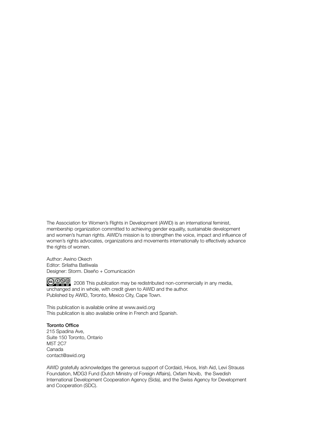The Association for Women's Rights in Development (AWID) is an international feminist, membership organization committed to achieving gender equality, sustainable development and women's human rights. AWID's mission is to strengthen the voice, impact and influence of women's rights advocates, organizations and movements internationally to effectively advance the rights of women.

Author: Awino Okech Editor: Srilatha Batliwala Designer: Storm. Diseño + Comunicación

**2008** 2008 This publication may be redistributed non-commercially in any media, unchanged and in whole, with credit given to AWID and the author. Published by AWID, Toronto, Mexico City, Cape Town.

This publication is available online at www.awid.org This publication is also available online in French and Spanish.

#### Toronto Office

215 Spadina Ave, Suite 150 Toronto, Ontario M5T 2C7 Canada contact@awid.org

AWID gratefully acknowledges the generous support of Cordaid, Hivos, Irish Aid, Levi Strauss Foundation, MDG3 Fund (Dutch Ministry of Foreign Affairs), Oxfam Novib, the Swedish International Development Cooperation Agency (Sida), and the Swiss Agency for Development and Cooperation (SDC).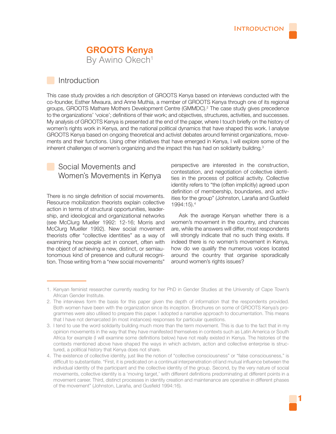# **GROOTS Kenya** By Awino Okech<sup>1</sup>

# **Introduction**

This case study provides a rich description of GROOTS Kenya based on interviews conducted with the co-founder, Esther Mwaura, and Anne Muthia, a member of GROOTS Kenya through one of its regional groups, GROOTS Mathare Mothers Development Centre (GMMDC).<sup>2</sup> The case study gives precedence to the organizations' 'voice'; definitions of their work; and objectives, structures, activities, and successes. My analysis of GROOTS Kenya is presented at the end of the paper, where I touch briefly on the history of women's rights work in Kenya, and the national political dynamics that have shaped this work. I analyse GROOTS Kenya based on ongoing theoretical and activist debates around feminist organizations, movements and their functions. Using other initiatives that have emerged in Kenya, I will explore some of the inherent challenges of women's organizing and the impact this has had on solidarity building.<sup>3</sup>

# **Social Movements and** Women's Movements in Kenya

There is no single definition of social movements. Resource mobilization theorists explain collective action in terms of structural opportunities, leadership, and ideological and organizational networks (see McClurg Mueller 1992: 12-16; Morris and McClurg Mueller 1992). New social movement theorists offer "collective identities" as a way of examining how people act in concert, often with the object of achieving a new, distinct, or semiautonomous kind of presence and cultural recognition. Those writing from a "new social movements"

perspective are interested in the construction, contestation, and negotiation of collective identities in the process of political activity. Collective identity refers to "the (often implicitly) agreed upon definition of membership, boundaries, and activities for the group" (Johnston, Laraña and Gusfield 1994:15).4

Ask the average Kenyan whether there is a women's movement in the country, and chances are, while the answers will differ, most respondents will strongly indicate that no such thing exists. If indeed there is no women's movement in Kenya, how do we qualify the numerous voices located around the country that organise sporadically around women's rights issues?

<sup>1.</sup> Kenyan feminist researcher currently reading for her PhD in Gender Studies at the University of Cape Town's African Gender Institute.

<sup>2.</sup> The interviews form the basis for this paper given the depth of information that the respondents provided. Both women have been with the organization since its inception. Brochures on some of GROOTS Kenya's programmes were also utilised to prepare this paper. I adopted a narrative approach to documentation. This means that I have not demarcated (in most instances) responses for particular questions.

<sup>3.</sup> I tend to use the word solidarity building much more than the term movement. This is due to the fact that in my opinion movements in the way that they have manifested themselves in contexts such as Latin America or South Africa for example (I will examine some definitions below) have not really existed in Kenya. The histories of the contexts mentioned above have shaped the ways in which activism, action and collective enterprise is structured, a political history that Kenya does not share.

<sup>4.</sup> The existence of collective identity, just like the notion of "collective consciousness" or "false consciousness," is difficult to substantiate. "First, it is predicated on a continual interpenetration of/and mutual influence between the individual identity of the participant and the collective identity of the group. Second, by the very nature of social movements, collective identity is a 'moving target,' with different definitions predominating at different points in a movement career. Third, distinct processes in identity creation and maintenance are operative in different phases of the movement" (Johnston, Laraña, and Gusfield 1994:16).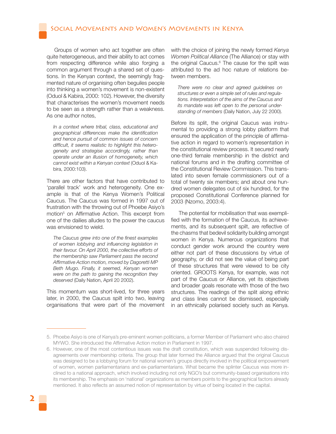Groups of women who act together are often quite heterogeneous, and their ability to act comes from respecting difference while also forging a common argument through a shared set of questions. In the Kenyan context, the seemingly fragmented nature of organising often beguiles people into thinking a women's movement is non-existent (Oduol & Kabira, 2000: 102). However, the diversity that characterises the women's movement needs to be seen as a strength rather than a weakness. As one author notes,

*In a context where tribal, class, educational and geographical differences make the identification and hence pursuit of common issues of concern difficult, it seems realistic to highlight this heterogeneity and strategise accordingly, rather than operate under an illusion of homogeneity, which cannot exist within a Kenyan context* (Oduol & Kabira, 2000:103).

There are other factors that have contributed to 'parallel track' work and heterogeneity. One example is that of the Kenya Women's Political Caucus. The Caucus was formed in 1997 out of frustration with the throwing out of Phoebe Asiyo's motion<sup>5</sup> on Affirmative Action. This excerpt from one of the dailies alludes to the power the caucus was envisioned to wield.

*The Caucus grew into one of the finest examples of women lobbying and influencing legislation in their favour. On April 2000, the collective efforts of the membership saw Parliament pass the second Affirmative Action motion, moved by Dagoretti MP Beth Mugo. Finally, it seemed, Kenyan women were on the path to gaining the recognition they deserved* (Daily Nation, April 20 2002).

This momentum was short-lived, for three years later, in 2000, the Caucus spilt into two, leaving organisations that were part of the movement with the choice of joining the newly formed *Kenya Women Political Alliance* (The Alliance) or stay with the original Caucus.<sup>6</sup> The cause for the spilt was attributed to the ad hoc nature of relations between members.

*There were no clear and agreed guidelines on structures or even a simple set of rules and regulations. Interpretation of the aims of the Caucus and its mandate was left open to the personal understanding of members* (Daily Nation, July 22 2000).

Before its split, the original Caucus was instrumental to providing a strong lobby platform that ensured the application of the principle of affirmative action in regard to women's representation in the constitutional review process. It secured nearly one-third female membership in the district and national forums and in the drafting committee of the Constitutional Review Commission. This translated into seven female commissioners out of a total of twenty six members; and about one hundred women delegates out of six hundred, for the proposed Constitutional Conference planned for 2003 (Nzomo, 2003:4).

The potential for mobilisation that was exemplified with the formation of the Caucus, its achievements, and its subsequent spilt, are reflective of the chasms that bedevil solidarity building amongst women in Kenya. Numerous organizations that conduct gender work around the country were either not part of these discussions by virtue of geography, or did not see the value of being part of these structures that were viewed to be city oriented. GROOTS Kenya, for example, was not part of the Caucus or Alliance, yet its objectives and broader goals resonate with those of the two structures. The readings of the split along ethnic and class lines cannot be dismissed, especially in an ethnically polarised society such as Kenya.

<sup>5.</sup> Phoebe Asiyo is one of Kenya's pre-eminent women politicians, a former Member of Parliament who also chaired MYWO. She introduced the Affirmative Action motion in Parliament in 1997.

<sup>6.</sup> However, one of the most contentious issues was the draft constitution, which was suspended following disagreements over membership criteria. The group that later formed the Alliance argued that the original Caucus was designed to be a lobbying forum for national women's groups directly involved in the political empowerment of women, women parliamentarians and ex-parliamentarians. What became the splinter Caucus was more inclined to a national approach, which involved including not only NGO's but community-based organisations into its membership. The emphasis on 'national' organizations as members points to the geographical factors already mentioned. It also reflects an assumed notion of representation by virtue of being located in the capital.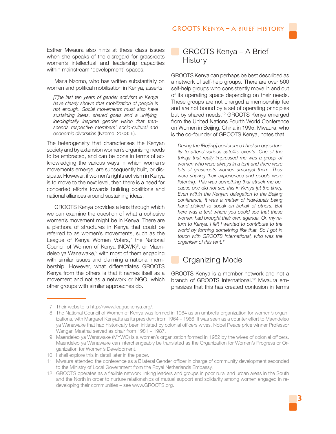### GROOTS KENYA - A BRIEF HISTOI

Esther Mwaura also hints at these class issues when she speaks of the disregard for grassroots women's intellectual and leadership capacities within mainstream 'development' spaces.

Maria Nzomo, who has written substantially on women and political mobilisation in Kenya, asserts:

*[T]he last ten years of gender activism in Kenya have clearly shown that mobilization of people is not enough. Social movements must also have sustaining ideas, shared goals and a unifying, ideologically inspired gender vision that transcends respective members' socio-cultural and economic diversities* (Nzomo, 2003: 6).

The heterogeneity that characterises the Kenyan society and by extension women's organising needs to be embraced, and can be done in terms of acknowledging the various ways in which women's movements emerge, are subsequently built, or dissipate. However, if women's rights activism in Kenya is to move to the next level, then there is a need for concerted efforts towards building coalitions and national alliances around sustaining ideas.

GROOTS Kenya provides a lens through which we can examine the question of what a cohesive women's movement might be in Kenya. There are a plethora of structures in Kenya that could be referred to as women's movements, such as the League of Kenya Women Voters,<sup>7</sup> the National Council of Women of Kenya (NCWK)<sup>8</sup>, or Maendeleo ya Wanawake,<sup>9</sup> with most of them engaging with similar issues and claiming a national membership. However, what differentiates GROOTS Kenya from the others is that it names itself as a movement and not as a network or NGO, which other groups with similar approaches do.

### GROOTS Kenya – A Brief **History**

GROOTS Kenya can perhaps be best described as a network of self-help groups. There are over 500 self-help groups who consistently move in and out of its operating space depending on their needs. These groups are not charged a membership fee and are not bound by a set of operating principles but by shared needs.<sup>10</sup> GROOTS Kenya emerged from the United Nations Fourth World Conference on Women in Beijing, China in 1995. Mwaura, who is the co-founder of GROOTS Kenya, notes that:

*During the [Beijing] conference I had an opportunity to attend various satellite events. One of the things that really impressed me was a group of women who were always in a tent and there were lots of grassroots women amongst them. They were sharing their experiences and people were listening. This was something that struck me because one did not see this in Kenya [at the time]. Even within the Kenyan delegation to the Beijing conference, it was a matter of individuals being hand picked to speak on behalf of others. But here was a tent where you could see that these women had brought their own agenda. On my return to Kenya, I felt I wanted to contribute to the world by forming something like that. So I got in touch with GROOTS International, who was the organiser of this tent.11*

# Organizing Model

GROOTS Kenya is a member network and not a branch of GROOTS International.<sup>12</sup> Mwaura emphasizes that this has created confusion in terms

 <sup>7.</sup> Their website is http://www.leaguekenya.org/.

 <sup>8.</sup> The National Council of Women of Kenya was formed in 1964 as an umbrella organization for women's organizations, with Margaret Kenyatta as its president from 1964 – 1966. It was seen as a counter effort to Maendeleo ya Wanawake that had historically been initiated by colonial officers wives. Nobel Peace price winner Professor Wangari Maathai served as chair from 1981 – 1987.

 <sup>9.</sup> Maendeleo ya Wanawake (MYWO) is a women's organization formed in 1952 by the wives of colonial officers. Maendeleo ya Wanawake can interchangeably be translated as the Organization for Women's Progress or Organization for Women's Development.

<sup>10.</sup> I shall explore this in detail later in the paper.

<sup>11.</sup> Mwaura attended the conference as a Bilateral Gender officer in charge of community development seconded to the Ministry of Local Government from the Royal Netherlands Embassy.

<sup>12.</sup> GROOTS operates as a flexible network linking leaders and groups in poor rural and urban areas in the South and the North in order to nurture relationships of mutual support and solidarity among women engaged in redeveloping their communities – see www.GROOTS.org.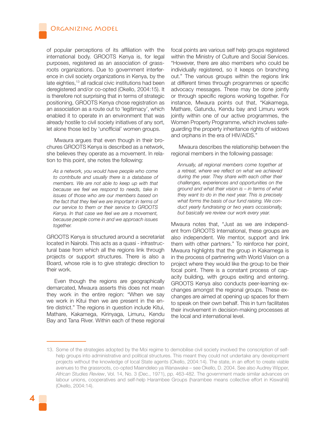of popular perceptions of its affiliation with the international body. GROOTS Kenya is, for legal purposes, registered as an association of grassroots organizations. Due to government interference in civil society organizations in Kenya, by the late eighties,<sup>13</sup> all radical civic institutions had been deregistered and/or co-opted (Okello, 2004:15). It is therefore not surprising that in terms of strategic positioning, GROOTS Kenya chose registration as an association as a route out to 'legitimacy', which enabled it to operate in an environment that was already hostile to civil society initiatives of any sort, let alone those led by 'unofficial' women groups.

Mwaura argues that even though in their brochures GROOTS Kenya is described as a network, she believes they operate as a movement. In relation to this point, she notes the following:

*As a network, you would have people who come to contribute and usually there is a database of members. We are not able to keep up with that because we feel we respond to needs, take in issues of those who are our members based on the fact that they feel we are important in terms of our service to them or their service to GROOTS Kenya. In that case we feel we are a movement, because people come in and we approach issues together.* 

GROOTS Kenya is structured around a secretariat located in Nairobi. This acts as a quasi - infrastructural base from which all the regions link through projects or support structures. There is also a Board, whose role is to give strategic direction to their work.

Even though the regions are geographically demarcated, Mwaura asserts this does not mean they work in the entire region: "When we say we work in Kitui then we are present in the entire district." The regions in question include Kitui, Mathare, Kakamega, Kirinyaga, Limuru, Kendu Bay and Tana River. Within each of these regional

focal points are various self help groups registered within the Ministry of Culture and Social Services. "However, there are also members who could be individually registered, so it keeps on branching out." The various groups within the regions link at different times through programmes or specific advocacy messages. These may be done jointly or through specific regions working together. For instance, Mwaura points out that, "Kakamega, Mathare, Gatundu, Kendu bay and Limuru work jointly within one of our active programmes, the Women Property Programme, which involves safeguarding the property inheritance rights of widows and orphans in the era of HIV/AIDS."

Mwaura describes the relationship between the regional members in the following passage:

*Annually, all regional members come together at a retreat, where we reflect on what we achieved during the year. They share with each other their challenges, experiences and opportunities on the ground and what their vision is – in terms of what they want to do in the next year. This is precisely what forms the basis of our fund raising. We conduct yearly fundraising or two years occasionally, but basically we review our work every year.*

Mwaura notes that, "Just as we are independent from GROOTS International, these groups are also independent. We mentor, support and link them with other partners." To reinforce her point, Mwaura highlights that the group in Kakamega is in the process of partnering with World Vision on a project where they would like the group to be their focal point. There is a constant process of capacity building, with groups exiting and entering. GROOTS Kenya also conducts peer-learning exchanges amongst the regional groups. These exchanges are aimed at opening up spaces for them to speak on their own behalf. This in turn facilitates their involvement in decision-making processes at the local and international level.

<sup>13.</sup> Some of the strategies adopted by the Moi regime to demobilise civil society involved the conscription of selfhelp groups into administrative and political structures. This meant they could not undertake any development projects without the knowledge of local State agents (Okello, 2004:14). The state, in an effort to create viable avenues to the grassroots, co-opted Maendeleo ya Wanawake – see Okello, D. 2004. See also Audrey Wipper, *African Studies Review*, Vol. 14, No. 3 (Dec., 1971), pp. 463-482. The government made similar advances on labour unions, cooperatives and self-help Harambee Groups (harambee means collective effort in Kiswahili) (Okello, 2004:14).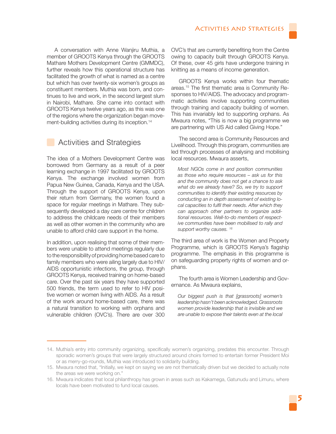A conversation with Anne Wanjiru Muthia, a member of GROOTS Kenya through the GROOTS Mathare Mothers Development Centre (GMMDC), further reveals how this operational structure has facilitated the growth of what is named as a centre but which has over twenty-six women's groups as constituent members. Muthia was born, and continues to live and work, in the second largest slum in Nairobi, Mathare. She came into contact with GROOTS Kenya twelve years ago, as this was one of the regions where the organization began movement-building activities during its inception.<sup>14</sup>

# Activities and Strategies

The idea of a Mothers Development Centre was borrowed from Germany as a result of a peer learning exchange in 1997 facilitated by GROOTS Kenya. The exchange involved women from Papua New Guinea, Canada, Kenya and the USA. Through the support of GROOTS Kenya, upon their return from Germany, the women found a space for regular meetings in Mathare. They subsequently developed a day care centre for children to address the childcare needs of their members as well as other women in the community who are unable to afford child care support in the home.

In addition, upon realising that some of their members were unable to attend meetings regularly due to the responsibility of providing home based care to family members who were ailing largely due to HIV/ AIDS opportunistic infections, the group, through GROOTS Kenya, received training on home-based care. Over the past six years they have supported 500 friends, the term used to refer to HIV positive women or women living with AIDS. As a result of the work around home-based care, there was a natural transition to working with orphans and vulnerable children (OVC's). There are over 300 OVC's that are currently benefiting from the Centre owing to capacity built through GROOTS Kenya. Of these, over 45 girls have undergone training in knitting as a means of income generation.

GROOTS Kenya works within four thematic areas.15 The first thematic area is Community Responses to HIV/AIDS. The advocacy and programmatic activities involve supporting communities through training and capacity building of women. This has invariably led to supporting orphans. As Mwaura notes, "This is now a big programme we are partnering with US Aid called Giving Hope."

The second area is Community Resources and Livelihood. Through this program, communities are led through processes of analysing and mobilising local resources. Mwaura asserts,

*Most NGOs come in and position communities as those who require resources – ask us for this and the community does not get a chance to ask what do we already have? So, we try to support communities to identify their existing resources by conducting an in depth assessment of existing local capacities to fulfil their needs. After which they can approach other partners to organize additional resources. Well-to-do members of respective communities have been mobilised to rally and support worthy causes. 16* 

The third area of work is the Women and Property Programme, which is GROOTS Kenya's flagship programme. The emphasis in this programme is on safeguarding property rights of women and orphans.

The fourth area is Women Leadership and Governance. As Mwaura explains,

*Our biggest push is that [grassroots] women's leadership hasn't been acknowledged. Grassroots women provide leadership that is invisible and we are unable to expose their talents even at the local* 

<sup>14.</sup> Muthia's entry into community organizing, specifically women's organizing, predates this encounter. Through sporadic women's groups that were largely structured around choirs formed to entertain former President Moi or as merry-go-rounds, Muthia was introduced to solidarity building.

<sup>15.</sup> Mwaura noted that, "Initially, we kept on saying we are not thematically driven but we decided to actually note the areas we were working on."

<sup>16.</sup> Mwaura indicates that local philanthropy has grown in areas such as Kakamega, Gatunudu and Limuru, where locals have been motivated to fund local causes.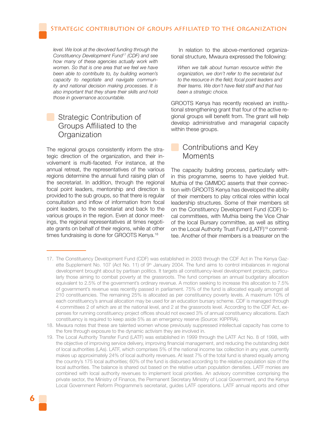*level. We look at the devolved funding through the Constituency Development Fund17 (CDF) and see how many of these agencies actually work with women. So that is one area that we feel we have been able to contribute to, by building women's capacity to negotiate and navigate community and national decision making processes. It is also important that they share their skills and hold those in governance accountable.* 

# Strategic Contribution of Groups Affiliated to the **Organization**

The regional groups consistently inform the strategic direction of the organization, and their involvement is multi-faceted. For instance, at the annual retreat, the representatives of the various regions determine the annual fund raising plan of the secretariat. In addition, through the regional focal point leaders, mentorship and direction is provided to the sub groups, so that there is regular consultation and inflow of information from focal point leaders, to the secretariat and back to the various groups in the region. Even at donor meetings, the regional representatives at times negotiate grants on behalf of their regions, while at other times fundraising is done for GROOTS Kenya.18

In relation to the above-mentioned organizational structure, Mwaura expressed the following:

*When we talk about human resource within the organization, we don't refer to the secretariat but to the resource in the field; focal point leaders and their teams. We don't have field staff and that has been a strategic choice.*

GROOTS Kenya has recently received an institutional strengthening grant that four of the active regional groups will benefit from. The grant will help develop administrative and managerial capacity within these groups.

# Contributions and Key Moments

The capacity building process, particularly within this programme, seems to have yielded fruit. Muthia of the GMMDC asserts that their connection with GROOTS Kenya has developed the ability of their members to play critical roles within local leadership structures. Some of their members sit on the Constituency Development Fund (CDF) local committees, with Muthia being the Vice Chair of the local Bursary committee, as well as sitting on the Local Authority Trust Fund (LATF)<sup>19</sup> committee. Another of their members is a treasurer on the

<sup>17.</sup> The Constituency Development Fund (CDF) was established in 2003 through the CDF Act in The Kenya Gazette Supplement No. 107 (Act No. 11) of 9<sup>th</sup> January 2004. The fund aims to control imbalances in regional development brought about by partisan politics. It targets all constituency-level development projects, particularly those aiming to combat poverty at the grassroots. The fund comprises an annual budgetary allocation equivalent to 2.5% of the government's ordinary revenue. A motion seeking to increase this allocation to 7.5% of government's revenue was recently passed in parliament. 75% of the fund is allocated equally amongst all 210 constituencies. The remaining 25% is allocated as per constituency poverty levels. A maximum 10% of each constituency's annual allocation may be used for an education bursary scheme. CDF is managed through 4 committees 2 of which are at the national level, and 2 at the grassroots level. According to the CDF Act, expenses for running constituency project offices should not exceed 3% of annual constituency allocations. Each constituency is required to keep aside 5% as an emergency reserve (Source: KIPPRA).

<sup>18.</sup> Mwaura notes that these are talented women whose previously suppressed intellectual capacity has come to the fore through exposure to the dynamic activism they are involved in.

<sup>19.</sup> The Local Authority Transfer Fund (LATF) was established in 1999 through the LATF Act No. 8 of 1998, with the objective of improving service delivery, improving financial management, and reducing the outstanding debt of local authorities (LAs). LATF, which comprises 5% of the national income tax collection in any year, currently makes up approximately 24% of local authority revenues. At least 7% of the total fund is shared equally among the country's 175 local authorities; 60% of the fund is disbursed according to the relative population size of the local authorities. The balance is shared out based on the relative urban population densities. LATF monies are combined with local authority revenues to implement local priorities. An advisory committee comprising the private sector, the Ministry of Finance, the Permanent Secretary Ministry of Local Government, and the Kenya Local Government Reform Programme's secretariat, guides LATF operations. LATF annual reports and other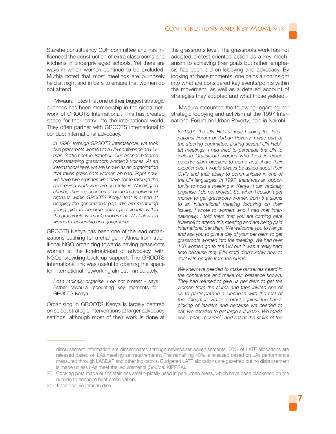Starehe constituency CDF committee and has influenced the construction of extra classrooms and kitchens in underprivileged schools. Yet there are ways in which women continue to be excluded. Muthia noted that most meetings are purposely held at night and in bars to ensure that women do not attend.

Mwaura notes that one of their biggest strategic alliances has been membership in the global network of GROOTS International. This has created space for their entry into the international world. They often partner with GROOTS International to conduct international advocacy.

*In 1996, through GROOTS International, we took two grassroots women to a UN conference on Human Settlement in Istanbul. Our anchor became mainstreaming grassroots women's voices. At an international level, we are known as an organization that takes grassroots women abroad. Right now, we have two orphans who have come through the care giving work who are currently in Washington sharing their experiences of being in a network of orphans within GROOTS Kenya that is aimed at bridging the generational gap. We are mentoring young girls to become active participants within the grassroots women's movement. We believe in women's leadership and governance.* 

GROOTS Kenya has been one of the lead organizations pushing for a change in Africa from traditional NGO organizing towards having grassroots women at the forefront/lead of advocacy, with NGOs providing back up support. The GROOTS International link was useful to opening the space for international networking almost immediately.

*I can radically organise, I do not protest –* says Esther Mwaura recounting key moments for GROOTS Kenya.

Organising in GROOTS Kenya is largely centred on select strategic interventions at larger advocacy settings, although most of their work is done at

the grassroots level. The grassroots work has not adopted protest-oriented action as a key mechanism to achieving their goals but rather, emphasis has been laid on lobbying and advocacy. By looking at these moments, one gains a rich insight into what are considered key events/points within the movement, as well as a detailed account of strategies they adopted and what those yielded.

Mwaura recounted the following regarding her strategic lobbying and activism at the 1997 International Forum on Urban Poverty, held in Nairobi:

*In 1997, the UN Habitat was holding the International Forum on Urban Poverty. I was part of the steering committee. During several UN Habitat meetings, I had tried to persuade the UN to include Grassroots women who lived in urban poverty; slum dwellers to come and share their experiences. I would always be asked about their C.V's and their ability to communicate in one of the UN languages. In 1997, there was an opportunity to hold a meeting in Kenya. I can radically organise, I do not protest. So, when I couldn't get money to get grassroots women from the slums to an international meeting focusing on their issues, I wrote to women who I had met internationally. I told them that you are coming here [Nairobi] to attend this meeting and are being paid international per diem. We welcome you to Kenya and ask you to give a day of your per diem to get grassroots women into the meeting. We had over 100 women go to the UN but it was a really hard time because they [UN staff] didn't know how to deal with people from the slums.* 

*We knew we needed to make ourselves heard in the conference and make our presence known. They had refused to give us per diem to get the women from the slums and then invited one of us to participate in a luncheon with the rest of the delegates. So to protest against the handpicking of leaders and because we needed to*  eat, we decided to get large sufurias<sup>20</sup>. We made *rice, meat, mokimo21 and sat at the stairs of the* 

disbursement information are disseminated through newspaper advertisements. 60% of LATF allocations are released based on LAs meeting set requirements. The remaining 40% is released based on LAs performance measured through LASDAP and other indicators. Budgeted LATF allocations are gazetted but no disbursement is made unless LAs meet the requirements (Source: KIPPRA).

<sup>20.</sup> Cooking pots made out of stainless steel typically used in peri-urban areas, which have been blackened on the outside to enhance heat preservation.

<sup>21.</sup> Traditional vegetarian dish.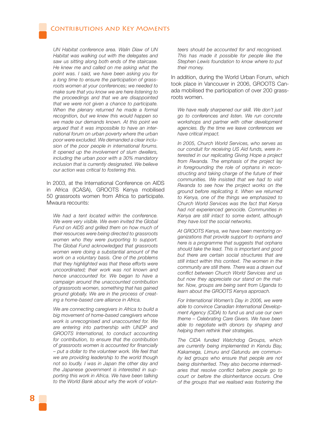#### Contributions and Key Moments

*UN Habitat conference area. Walin Diaw of UN Habitat was walking out with the delegates and saw us sitting along both ends of the staircase. He knew me and called on me asking what the point was. I said, we have been asking you for a long time to ensure the participation of grassroots women at your conferences; we needed to make sure that you know we are here listening to the proceedings and that we are disappointed that we were not given a chance to participate. When the plenary returned he made a formal recognition, but we knew this would happen so we made our demands known. At this point we argued that it was impossible to have an international forum on urban poverty where the urban poor were excluded. We demanded a clear inclusion of the poor people in international forums. It opened up the involvement of slum dwellers, including the urban poor with a 30% mandatory inclusion that is currently designated. We believe our action was critical to fostering this.*

In 2003, at the International Conference on AIDS in Africa (ICASA), GROOTS Kenya mobilised 50 grassroots women from Africa to participate. Mwaura recounts:

*We had a tent located within the conference. We were very visible. We even invited the Global Fund on AIDS and grilled them on how much of their resources were being directed to grassroots women who they were purporting to support. The Global Fund acknowledged that grassroots women were doing a substantial amount of the work on a voluntary basis. One of the problems that they highlighted was that these efforts were uncoordinated; their work was not known and hence unaccounted for. We began to have a campaign around the unaccounted contribution of grassroots women, something that has gained ground globally. We are in the process of creating a home-based care alliance in Africa.* 

*We are connecting caregivers in Africa to build a big movement of home-based caregivers whose work is unrecognised and unaccounted for. We are entering into partnership with UNDP and GROOTS International, to conduct accounting for contribution, to ensure that the contribution of grassroots women is accounted for financially – put a dollar to the volunteer work. We feel that we are providing leadership to the world though not so loudly. I was in Japan the other day and the Japanese government is interested in supporting this work in Africa. We have been talking to the World Bank about why the work of volun-* *teers should be accounted for and recognised. This has made it possible for people like the Stephen Lewis foundation to know where to put their money.*

In addition, during the World Urban Forum, which took place in Vancouver in 2006, GROOTS Canada mobilised the participation of over 200 grassroots women.

*We have really sharpened our skill. We don't just go to conferences and listen. We run concrete workshops and partner with other development agencies. By the time we leave conferences we have critical impact.* 

*In 2005, Church World Services, who serves as our conduit for receiving US Aid funds, were interested in our replicating Giving Hope a project from Rwanda. The emphasis of the project lay in foregrounding the role of orphans in reconstructing and taking charge of the future of their communities. We insisted that we had to visit Rwanda to see how the project works on the ground before replicating it. When we returned to Kenya, one of the things we emphasized to Church World Services was the fact that Kenya had not experienced genocide. Communities in Kenya are still intact to some extent, although they have lost the social networks.* 

*At GROOTS Kenya, we have been mentoring organizations that provide support to orphans and here is a programme that suggests that orphans should take the lead. This is important and good but there are certain social structures that are still intact within this context. The women in the community are still there. There was a drawn out conflict between Church World Services and us but now they appreciate our stand on the matter. Now, groups are being sent from Uganda to learn about the GROOTS Kenya approach.*

*For International Women's Day in 2006, we were able to convince Canadian International Development Agency (CIDA) to fund us and use our own theme – Celebrating Care Givers. We have been able to negotiate with donors by shaping and helping them rethink their strategies.* 

*The CIDA funded Watchdog Groups, which are currently being implemented in Kendu Bay, Kakamega, Limuru and Gatundu are community led groups who ensure that people are not being disinherited. They also become intermediaries that resolve conflict before people go to court or before the disinheritance occurs. One of the groups that we realised was fostering the*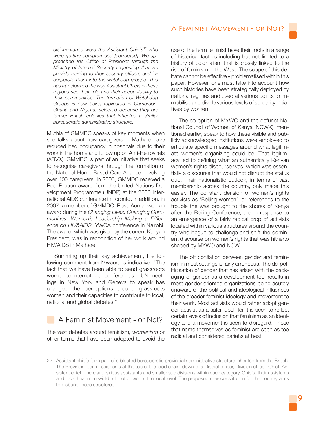*disinheritance were the Assistant Chiefs22 who were getting compromised [corrupted]. We approached the Office of President through the Ministry of Internal Security requesting that we provide training to their security officers and incorporate them into the watchdog groups. This has transformed the way Assistant Chiefs in these regions see their role and their accountability to their communities. The formation of Watchdog Groups is now being replicated in Cameroon, Ghana and Nigeria, selected because they are former British colonies that inherited a similar bureaucratic administrative structure.*

Muthia of GMMDC speaks of key moments when she talks about how caregivers in Mathare have reduced bed occupancy in hospitals due to their work in the home and follow up on Anti-Retrovirals (ARV's). GMMDC is part of an initiative that seeks to recognise caregivers through the formation of the National Home Based Care Alliance, involving over 400 caregivers. In 2006, GMMDC received a Red Ribbon award from the United Nations Development Programme (UNDP) at the 2006 International AIDS conference in Toronto. In addition, in 2007, a member of GMMDC, Rose Auma, won an award during the *Changing Lives, Changing Communities: Women's Leadership Making a Difference on HIV&AIDS,* YWCA conference in Nairobi. The award, which was given by the current Kenyan President, was in recognition of her work around HIV/AIDS in Mathare.

Summing up their key achievement, the following comment from Mwaura is indicative: "The fact that we have been able to send grassroots women to international conferences – UN meetings in New York and Geneva to speak has changed the perceptions around grassroots women and their capacities to contribute to local, national and global debates."

A Feminist Movement - or Not?

The vast debates around feminism, *womanism* or other terms that have been adopted to avoid the use of the term feminist have their roots in a range of historical factors including but not limited to a history of colonialism that is closely linked to the rise of feminism in the West. The scope of this debate cannot be effectively problematised within this paper. However, one must take into account how such histories have been strategically deployed by national regimes and used at various points to immobilise and divide various levels of solidarity initiatives by women.

The co-option of MYWO and the defunct National Council of Women of Kenya (NCWK), mentioned earlier, speak to how these visible and publicly acknowledged institutions were employed to articulate specific messages around what legitimate women's organizing could be. That legitimacy led to defining what an authentically Kenyan women's rights discourse was, which was essentially a discourse that would not disrupt the status quo. Their nationalistic outlook, in terms of vast membership across the country, only made this easier. The constant derision of women's rights activists as 'Beijing women', or references to the trouble the was brought to the shores of Kenya after the Beijing Conference, are in response to an emergence of a fairly radical crop of activists located within various structures around the country who begun to challenge and shift the dominant discourse on women's rights that was hitherto shaped by MYWO and NCW.

The oft conflation between gender and feminism in most settings is fairly erroneous. The de-politicisation of gender that has arisen with the packaging of gender as a development tool results in most gender oriented organizations being acutely unaware of the political and ideological influences of the broader feminist ideology and movement to their work. Most activists would rather adopt gender activist as a safer label, for it is seen to reflect certain levels of inclusion that feminism as an ideology and a movement is seen to disregard. Those that name themselves as feminist are seen as too radical and considered pariahs at best.

<sup>22.</sup> Assistant chiefs form part of a bloated bureaucratic provincial administrative structure inherited from the British. The Provincial commissioner is at the top of the food chain, down to a District officer, Division officer, Chief, Assistant chief. There are various assistants and smaller sub divisions within each category. Chiefs, their assistants and local headmen wield a lot of power at the local level. The proposed new constitution for the country aims to disband these structures.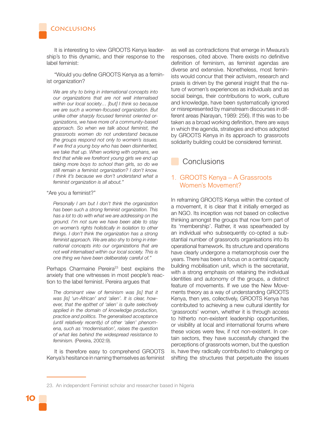

It is interesting to view GROOTS Kenya leadership's to this dynamic, and their response to the label feminist:

"Would you define GROOTS Kenya as a feminist organization?

*We are shy to bring in international concepts into our organizations that are not well internalised within our local society… [but] I think so because we are such a women-focused organization. But unlike other sharply focused feminist oriented organizations, we have more of a community-based approach. So when we talk about feminist, the grassroots women do not understand because the groups respond not only to women's issues. If we find a young boy who has been disinherited, we take that up. When working with orphans, we find that while we forefront young girls we end up taking more boys to school than girls, so do we still remain a feminist organization? I don't know. I think it's because we don't understand what a feminist organization is all about."*

"Are you a feminist?"

*Personally I am but I don't think the organization has been such a strong feminist organization. This has a lot to do with what we are addressing on the ground. I'm not sure we have been able to stay on women's rights holistically in isolation to other things. I don't think the organization has a strong feminist approach. We are also shy to bring in international concepts into our organizations that are not well internalised within our local society. This is one thing we have been deliberately careful of."* 

Perhaps Charmaine Pereira<sup>23</sup> best explains the anxiety that one witnesses in most people's reaction to the label feminist. Pereira argues that

*The dominant view of feminism was [is] that it was [is] 'un-African' and 'alien'. It is clear, however, that the epithet of 'alien' is quite selectively applied in the domain of knowledge production, practice and politics. The generalised acceptance (until relatively recently) of other 'alien' phenomena, such as 'modernisation', raises the question of what lies behind the widespread resistance to feminism.* (Pereira, 2002:9).

It is therefore easy to comprehend GROOTS Kenya's hesitance in naming themselves as feminist as well as contradictions that emerge in Mwaura's responses, cited above. There exists no definitive definition of feminism, as feminist agendas are diverse and extensive. Nonetheless, most feminists would concur that their activism, research and praxis is driven by the general insight that the nature of women's experiences as individuals and as social beings, their contributions to work, culture and knowledge, have been systematically ignored or misrepresented by mainstream discourses in different areas (Narayan, 1989: 256). If this was to be taken as a broad working definition, there are ways in which the agenda, strategies and ethos adopted by GROOTS Kenya in its approach to grassroots solidarity building could be considered feminist.

# **Conclusions**

### 1. GROOTS Kenya – A Grassroots Women's Movement?

In reframing GROOTS Kenya within the context of a movement, it is clear that it initially emerged as an NGO. Its inception was not based on collective thinking amongst the groups that now form part of its 'membership'. Rather, it was spearheaded by an individual who subsequently co-opted a substantial number of grassroots organisations into its operational framework. Its structure and operations have clearly undergone a metamorphosis over the years. There has been a focus on a central capacity building mobilisation unit, which is the secretariat, with a strong emphasis on retaining the individual identities and autonomy of the groups, a distinct feature of movements. If we use the New Movements theory as a way of understanding GROOTS Kenya, then yes, collectively, GROOTS Kenya has contributed to achieving a new cultural identity for 'grassroots' women, whether it is through access to hitherto non-existent leadership opportunities, or visibility at local and international forums where these voices were few, if not non-existent. In certain sectors, they have successfully changed the perceptions of grassroots women, but the question is, have they radically contributed to challenging or shifting the structures that perpetuate the issues

<sup>23.</sup> An independent Feminist scholar and researcher based in Nigeria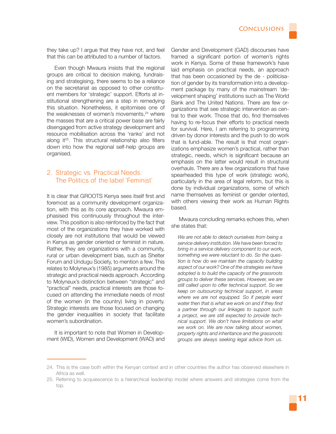

they take up? I argue that they have not, and feel that this can be attributed to a number of factors.

Even though Mwaura insists that the regional groups are critical to decision making, fundraising and strategising, there seems to be a reliance on the secretariat as opposed to other constituent members for 'strategic' support. Efforts at institutional strengthening are a step in remedying this situation. Nonetheless, it epitomises one of the weaknesses of women's movements,<sup>24</sup> where the masses that are a critical power base are fairly disengaged from active strategy development and resource mobilisation across the 'ranks' and not along it25. This structural relationship also filters down into how the regional self-help groups are organised.

### 2. Strategic vs. Practical Needs: The Politics of the label 'Feminist'

It is clear that GROOTS Kenya sees itself first and foremost as a community development organization, with this as its core approach. Mwaura emphasised this continuously throughout the interview. This position is also reinforced by the fact that most of the organizations they have worked with closely are not institutions that would be viewed in Kenya as gender oriented or feminist in nature. Rather, they are organizations with a community, rural or urban development bias, such as Shelter Forum and Undugu Society, to mention a few. This relates to Molyneux's (1985) arguments around the strategic and practical needs approach. According to Molyneux's distinction between "strategic" and "practical" needs, practical interests are those focused on attending the immediate needs of most of the women (in the country) living in poverty. Strategic interests are those focused on changing the gender inequalities in society that facilitate women's subordination.

It is important to note that Women in Development (WID), Women and Development (WAD) and Gender and Development (GAD) discourses have framed a significant portion of women's rights work in Kenya. Some of these framework's have laid emphasis on practical needs, an approach that has been occasioned by the de - politicisation of gender by its transformation into a development package by many of the mainstream 'development shaping' institutions such as The World Bank and The United Nations. There are few organizations that see strategic intervention as central to their work. Those that do, find themselves having to re-focus their efforts to practical needs for survival. Here, I am referring to programming driven by donor interests and the push to do work that is fund-able. The result is that most organizations emphasize women's practical, rather than strategic, needs, which is significant because an emphasis on the latter would result in structural overhauls. There are a few organizations that have spearheaded this type of work (strategic work), particularly in the area of legal reform, but this is done by individual organizations, some of which name themselves as feminist or gender oriented, with others viewing their work as Human Rights based.

Mwaura concluding remarks echoes this, when she states that:

*We are not able to detach ourselves from being a service delivery institution. We have been forced to bring in a service delivery component to our work, something we were reluctant to do. So the question is how do we maintain the capacity building aspect of our work? One of the strategies we have adopted is to build the capacity of the grassroots groups to deliver these services. However, we are still called upon to offer technical support. So we keep on outsourcing technical support, in areas where we are not equipped. So if people want water then that is what we work on and if they find a partner through our linkages to support such a project, we are still expected to provide technical support. We don't have limitations on what we work on. We are now talking about women, property rights and inheritance and the grassroots groups are always seeking legal advice from us.* 

<sup>24.</sup> This is the case both within the Kenyan context and in other countries the author has observed elsewhere in Africa as well.

<sup>25.</sup> Referring to acquiescence to a hierarchical leadership model where answers and strategies come from the top.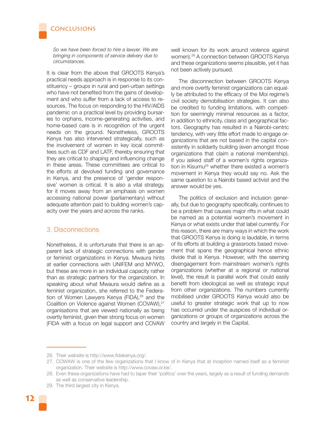

*So we have been forced to hire a lawyer. We are bringing in components of service delivery due to circumstances.* 

It is clear from the above that GROOTS Kenya's practical needs approach is in response to its constituency – groups in rural and peri-urban settings who have not benefited from the gains of development and who suffer from a lack of access to resources. The focus on responding to the HIV/AIDS pandemic on a practical level by providing bursaries to orphans, income-generating activities, and home-based care is in recognition of the urgent needs on the ground. Nonetheless, GROOTS Kenya has also intervened strategically, such as the involvement of women in key local committees such as CDF and LATF, thereby ensuring that they are critical to shaping and influencing change in these areas. These committees are critical to the efforts at devolved funding and governance in Kenya, and the presence of 'gender responsive' women is critical. It is also a vital strategy, for it moves away from an emphasis on women accessing national power (parliamentary) without adequate attention paid to building women's capacity over the years and across the ranks.

#### 3. Disconnections

Nonetheless, it is unfortunate that there is an apparent lack of strategic connections with gender or feminist organizations in Kenya. Mwaura hints at earlier connections with UNIFEM and MYWO, but these are more in an individual capacity rather than as strategic partners for the organization. In speaking about what Mwaura would define as a feminist organization, she referred to the Federation of Women Lawyers Kenya (FIDA),<sup>26</sup> and the Coalition on Violence against Women (COVAW),<sup>27</sup> organisations that are viewed nationally as being overtly feminist, given their strong focus on women (FIDA with a focus on legal support and COVAW well known for its work around violence against women).28 A connection between GROOTS Kenya and these organizations seems plausible, yet it has not been actively pursued.

The disconnection between GROOTS Kenya and more overtly feminist organizations can equally be attributed to the efficacy of the Moi regime's civil society demobilisation strategies. It can also be credited to funding limitations, with competition for seemingly minimal resources as a factor, in addition to ethnicity, class and geographical factors. Geography has resulted in a Nairobi-centric tendency, with very little effort made to engage organizations that are not based in the capital consistently in solidarity building (even amongst those organizations that claim a national membership). If you asked staff of a women's rights organization in Kisumu<sup>29</sup> whether there existed a women's movement in Kenya they would say no. Ask the same question to a Nairobi based activist and the answer would be yes.

The politics of exclusion and inclusion generally, but due to geography specifically, continues to be a problem that causes major rifts in what could be named as a potential women's movement in Kenya or what exists under that label currently. For this reason, there are many ways in which the work that GROOTS Kenya is doing is laudable, in terms of its efforts at building a grassroots based movement that spans the geographical hence ethnic divide that is Kenya. However, with the seeming disengagement from mainstream women's rights organizations (whether at a regional or national level), the result is parallel work that could easily benefit from ideological as well as strategic input from other organizations. The numbers currently mobilised under GROOTS Kenya would also be useful to greater strategic work that up to now has occurred under the auspices of individual organizations or groups of organizations across the country and largely in the Capital.

<sup>26.</sup> Their website is http://www.fidakenya.org/.

<sup>27.</sup> COWAW is one of the few organizations that I know of in Kenya that at inception named itself as a feminist organization. Their website is http://www.covaw.or.ke/.

<sup>28.</sup> Even these organizations have had to taper their 'politics' over the years, largely as a result of funding demands as well as conservative leadership.

<sup>29.</sup> The third largest city in Kenya.